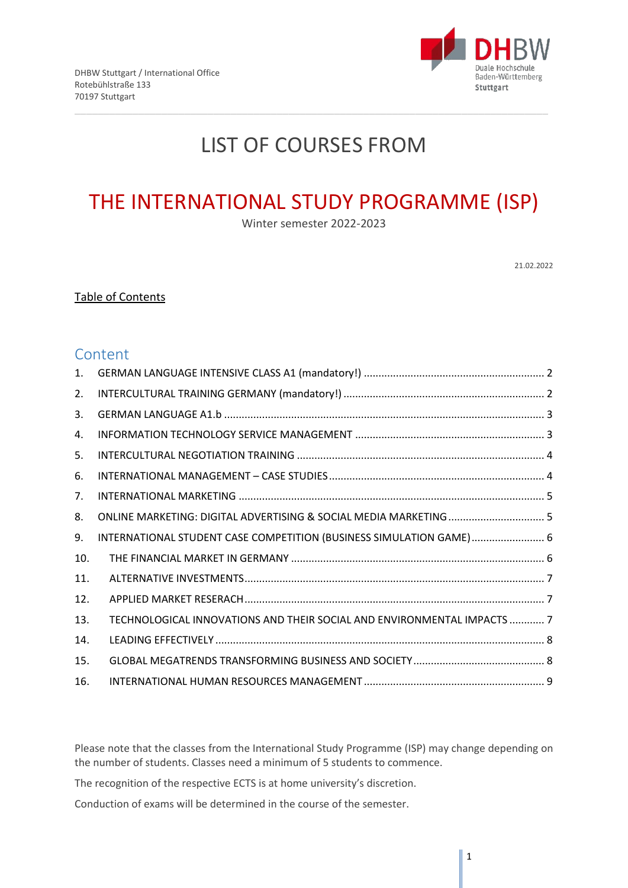

# LIST OF COURSES FROM

# THE INTERNATIONAL STUDY PROGRAMME (ISP)

Winter semester 2022-2023

21.02.2022

## Table of Contents

## **Content**

| 1.  |                                                                         |  |
|-----|-------------------------------------------------------------------------|--|
| 2.  |                                                                         |  |
| 3.  |                                                                         |  |
| 4.  |                                                                         |  |
| 5.  |                                                                         |  |
| 6.  |                                                                         |  |
| 7.  |                                                                         |  |
| 8.  |                                                                         |  |
| 9.  | INTERNATIONAL STUDENT CASE COMPETITION (BUSINESS SIMULATION GAME) 6     |  |
| 10. |                                                                         |  |
| 11. |                                                                         |  |
| 12. |                                                                         |  |
| 13. | TECHNOLOGICAL INNOVATIONS AND THEIR SOCIAL AND ENVIRONMENTAL IMPACTS  7 |  |
| 14. |                                                                         |  |
| 15. |                                                                         |  |
| 16. |                                                                         |  |

Please note that the classes from the International Study Programme (ISP) may change depending on the number of students. Classes need a minimum of 5 students to commence.

The recognition of the respective ECTS is at home university's discretion.

Conduction of exams will be determined in the course of the semester.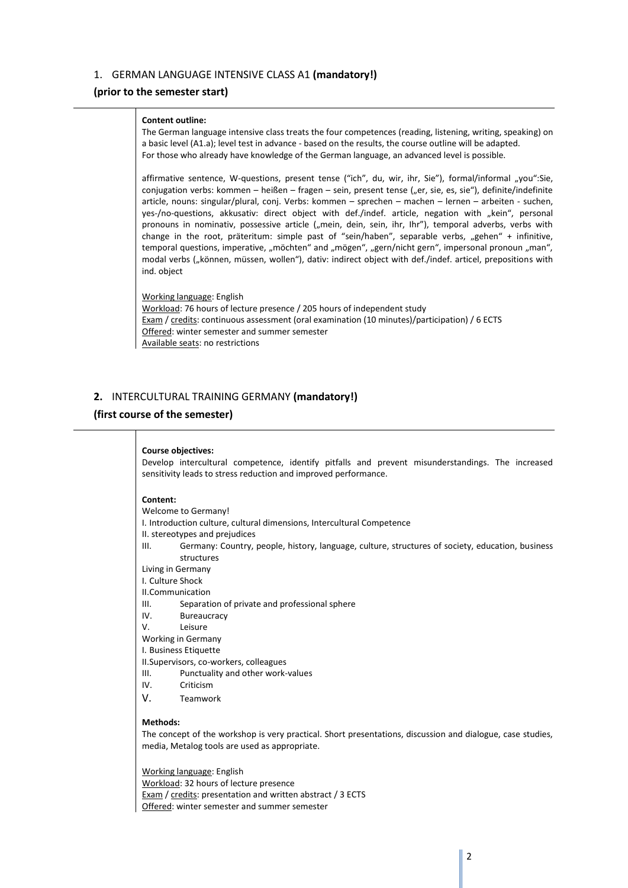## <span id="page-1-0"></span>1. GERMAN LANGUAGE INTENSIVE CLASS A1 **(mandatory!)**

## **(prior to the semester start)**

#### **Content outline:**

The German language intensive class treats the four competences (reading, listening, writing, speaking) on a basic level (A1.a); level test in advance - based on the results, the course outline will be adapted. For those who already have knowledge of the German language, an advanced level is possible.

affirmative sentence, W-questions, present tense ("ich", du, wir, ihr, Sie"), formal/informal "you":Sie, conjugation verbs: kommen – heißen – fragen – sein, present tense ("er, sie, es, sie"), definite/indefinite article, nouns: singular/plural, conj. Verbs: kommen – sprechen – machen – lernen – arbeiten - suchen, yes-/no-questions, akkusativ: direct object with def./indef. article, negation with "kein", personal pronouns in nominativ, possessive article ("mein, dein, sein, ihr, Ihr"), temporal adverbs, verbs with change in the root, präteritum: simple past of "sein/haben", separable verbs, "gehen" + infinitive, temporal questions, imperative, "möchten" and "mögen", "gern/nicht gern", impersonal pronoun "man", modal verbs ("können, müssen, wollen"), dativ: indirect object with def./indef. articel, prepositions with ind. object

Working language: English Workload: 76 hours of lecture presence / 205 hours of independent study Exam / credits: continuous assessment (oral examination (10 minutes)/participation) / 6 ECTS Offered: winter semester and summer semester Available seats: no restrictions

## <span id="page-1-1"></span>**2.** INTERCULTURAL TRAINING GERMANY **(mandatory!)**

## **(first course of the semester)**

#### **Course objectives:**

Develop intercultural competence, identify pitfalls and prevent misunderstandings. The increased sensitivity leads to stress reduction and improved performance.

#### **Content:**

- Welcome to Germany!
- I. Introduction culture, cultural dimensions, Intercultural Competence

II. stereotypes and prejudices

- III. Germany: Country, people, history, language, culture, structures of society, education, business structures
- Living in Germany
- I. Culture Shock

II.Communication

- III. Separation of private and professional sphere
- IV. Bureaucracy
- V. Leisure

Working in Germany

- I. Business Etiquette
- II.Supervisors, co-workers, colleagues
- III. Punctuality and other work-values
- IV. Criticism
- V. Teamwork

## **Methods:**

The concept of the workshop is very practical. Short presentations, discussion and dialogue, case studies, media, Metalog tools are used as appropriate.

Working language: English

Workload: 32 hours of lecture presence Exam / credits: presentation and written abstract / 3 ECTS Offered: winter semester and summer semester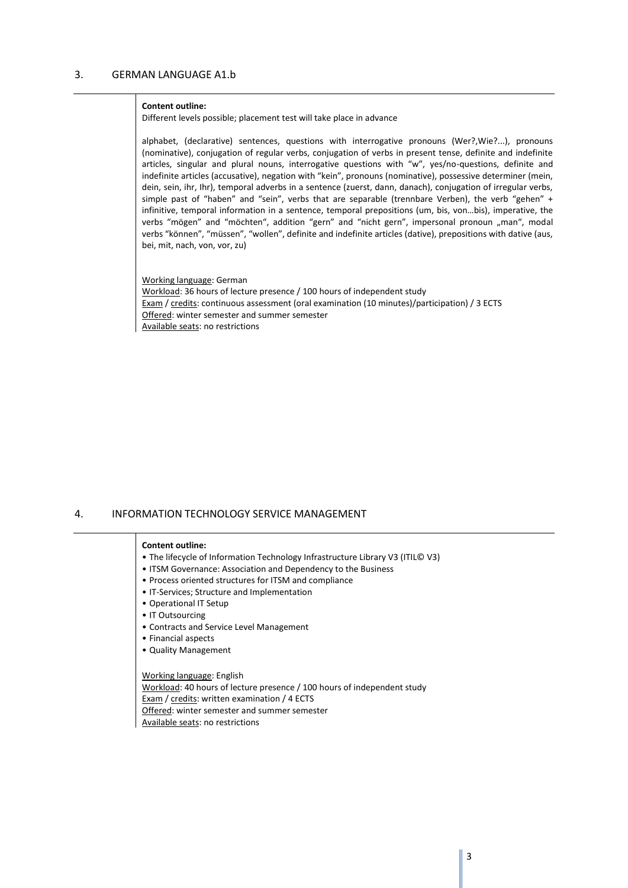#### <span id="page-2-0"></span>**Content outline:**

Different levels possible; placement test will take place in advance

alphabet, (declarative) sentences, questions with interrogative pronouns (Wer?,Wie?...), pronouns (nominative), conjugation of regular verbs, conjugation of verbs in present tense, definite and indefinite articles, singular and plural nouns, interrogative questions with "w", yes/no-questions, definite and indefinite articles (accusative), negation with "kein", pronouns (nominative), possessive determiner (mein, dein, sein, ihr, Ihr), temporal adverbs in a sentence (zuerst, dann, danach), conjugation of irregular verbs, simple past of "haben" and "sein", verbs that are separable (trennbare Verben), the verb "gehen" + infinitive, temporal information in a sentence, temporal prepositions (um, bis, von…bis), imperative, the verbs "mögen" and "möchten", addition "gern" and "nicht gern", impersonal pronoun "man", modal verbs "können", "müssen", "wollen", definite and indefinite articles (dative), prepositions with dative (aus, bei, mit, nach, von, vor, zu)

Working language: German Workload: 36 hours of lecture presence / 100 hours of independent study Exam / credits: continuous assessment (oral examination (10 minutes)/participation) / 3 ECTS Offered: winter semester and summer semester Available seats: no restrictions

## <span id="page-2-1"></span>4. INFORMATION TECHNOLOGY SERVICE MANAGEMENT

#### **Content outline:**

- The lifecycle of Information Technology Infrastructure Library V3 (ITIL© V3)
- ITSM Governance: Association and Dependency to the Business
- Process oriented structures for ITSM and compliance
- IT-Services; Structure and Implementation
- Operational IT Setup
- IT Outsourcing
- Contracts and Service Level Management
- Financial aspects
- Quality Management

## Working language: English Workload: 40 hours of lecture presence / 100 hours of independent study Exam / credits: written examination / 4 ECTS Offered: winter semester and summer semester Available seats: no restrictions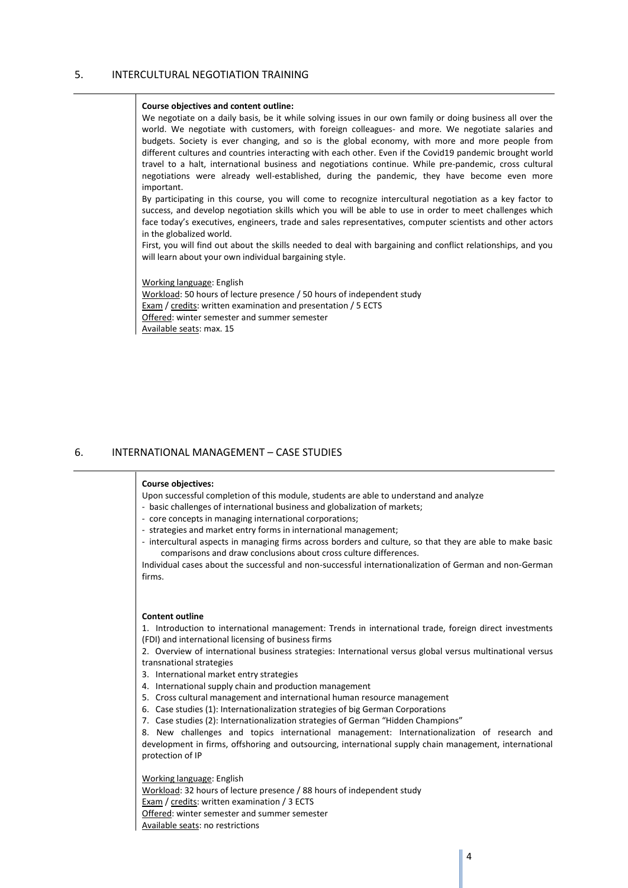## <span id="page-3-0"></span>5. INTERCULTURAL NEGOTIATION TRAINING

#### **Course objectives and content outline:**

We negotiate on a daily basis, be it while solving issues in our own family or doing business all over the world. We negotiate with customers, with foreign colleagues- and more. We negotiate salaries and budgets. Society is ever changing, and so is the global economy, with more and more people from different cultures and countries interacting with each other. Even if the Covid19 pandemic brought world travel to a halt, international business and negotiations continue. While pre-pandemic, cross cultural negotiations were already well-established, during the pandemic, they have become even more important.

By participating in this course, you will come to recognize intercultural negotiation as a key factor to success, and develop negotiation skills which you will be able to use in order to meet challenges which face today's executives, engineers, trade and sales representatives, computer scientists and other actors in the globalized world.

First, you will find out about the skills needed to deal with bargaining and conflict relationships, and you will learn about your own individual bargaining style.

Working language: English

Workload: 50 hours of lecture presence / 50 hours of independent study Exam / credits: written examination and presentation / 5 ECTS Offered: winter semester and summer semester Available seats: max. 15

## <span id="page-3-1"></span>6. INTERNATIONAL MANAGEMENT – CASE STUDIES

#### **Course objectives:**

Upon successful completion of this module, students are able to understand and analyze

- basic challenges of international business and globalization of markets;
- core concepts in managing international corporations;
- strategies and market entry forms in international management;
- intercultural aspects in managing firms across borders and culture, so that they are able to make basic comparisons and draw conclusions about cross culture differences.

Individual cases about the successful and non-successful internationalization of German and non-German firms.

#### **Content outline**

1. Introduction to international management: Trends in international trade, foreign direct investments (FDI) and international licensing of business firms

2. Overview of international business strategies: International versus global versus multinational versus transnational strategies

3. International market entry strategies

- 4. International supply chain and production management
- 5. Cross cultural management and international human resource management
- 6. Case studies (1): Internationalization strategies of big German Corporations
- 7. Case studies (2): Internationalization strategies of German "Hidden Champions"

8. New challenges and topics international management: Internationalization of research and development in firms, offshoring and outsourcing, international supply chain management, international protection of IP

Working language: English

Workload: 32 hours of lecture presence / 88 hours of independent study

Exam / credits: written examination / 3 ECTS

Offered: winter semester and summer semester

Available seats: no restrictions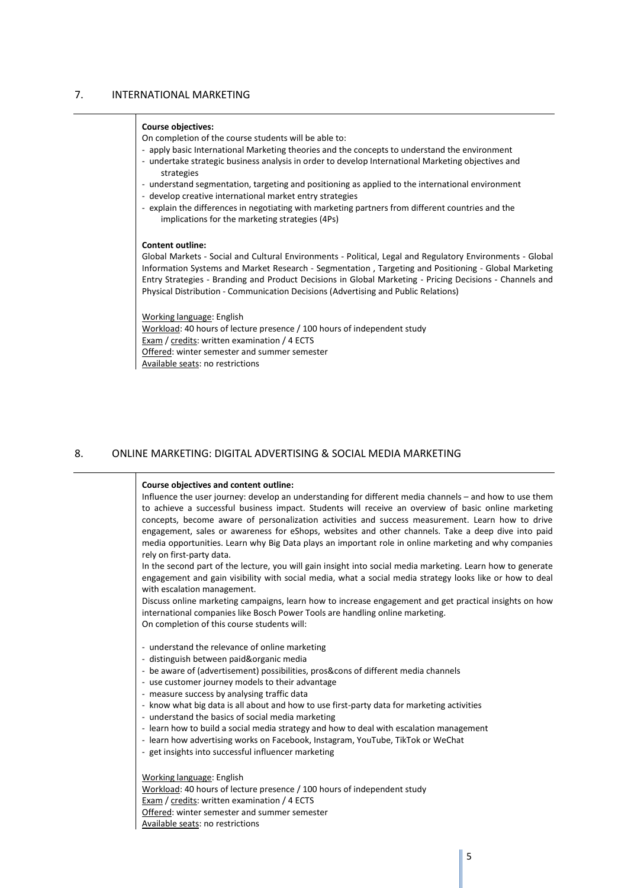## <span id="page-4-0"></span>7. INTERNATIONAL MARKETING

#### **Course objectives:**

On completion of the course students will be able to:

- apply basic International Marketing theories and the concepts to understand the environment
- undertake strategic business analysis in order to develop International Marketing objectives and strategies
- understand segmentation, targeting and positioning as applied to the international environment
- develop creative international market entry strategies
- explain the differences in negotiating with marketing partners from different countries and the implications for the marketing strategies (4Ps)

#### **Content outline:**

Global Markets - Social and Cultural Environments - Political, Legal and Regulatory Environments - Global Information Systems and Market Research - Segmentation , Targeting and Positioning - Global Marketing Entry Strategies - Branding and Product Decisions in Global Marketing - Pricing Decisions - Channels and Physical Distribution - Communication Decisions (Advertising and Public Relations)

Working language: English Workload: 40 hours of lecture presence / 100 hours of independent study Exam / credits: written examination / 4 ECTS Offered: winter semester and summer semester Available seats: no restrictions

## <span id="page-4-1"></span>8. ONLINE MARKETING: DIGITAL ADVERTISING & SOCIAL MEDIA MARKETING

#### **Course objectives and content outline:**

Influence the user journey: develop an understanding for different media channels – and how to use them to achieve a successful business impact. Students will receive an overview of basic online marketing concepts, become aware of personalization activities and success measurement. Learn how to drive engagement, sales or awareness for eShops, websites and other channels. Take a deep dive into paid media opportunities. Learn why Big Data plays an important role in online marketing and why companies rely on first-party data.

In the second part of the lecture, you will gain insight into social media marketing. Learn how to generate engagement and gain visibility with social media, what a social media strategy looks like or how to deal with escalation management.

Discuss online marketing campaigns, learn how to increase engagement and get practical insights on how international companies like Bosch Power Tools are handling online marketing. On completion of this course students will:

- understand the relevance of online marketing
- distinguish between paid&organic media
- be aware of (advertisement) possibilities, pros&cons of different media channels
- use customer journey models to their advantage
- measure success by analysing traffic data
- know what big data is all about and how to use first-party data for marketing activities
- understand the basics of social media marketing
- learn how to build a social media strategy and how to deal with escalation management
- learn how advertising works on Facebook, Instagram, YouTube, TikTok or WeChat
- get insights into successful influencer marketing

Working language: English

Workload: 40 hours of lecture presence / 100 hours of independent study Exam / credits: written examination / 4 ECTS Offered: winter semester and summer semester

Available seats: no restrictions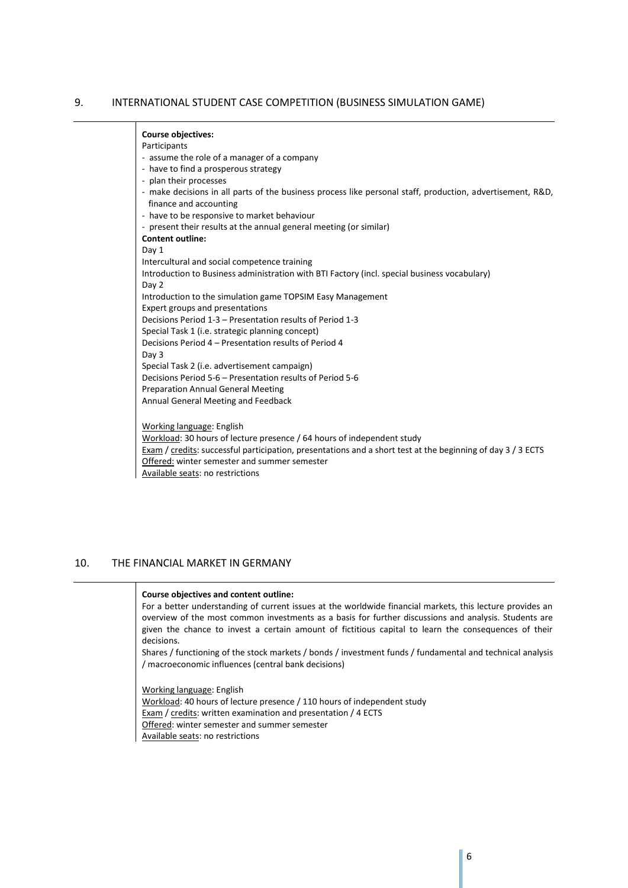## <span id="page-5-0"></span>9. INTERNATIONAL STUDENT CASE COMPETITION (BUSINESS SIMULATION GAME)

## **Course objectives:**

#### Participants

- assume the role of a manager of a company
- have to find a prosperous strategy
- plan their processes
- make decisions in all parts of the business process like personal staff, production, advertisement, R&D, finance and accounting
- have to be responsive to market behaviour
- present their results at the annual general meeting (or similar)

**Content outline:** Day 1

- Intercultural and social competence training
- Introduction to Business administration with BTI Factory (incl. special business vocabulary)
- Day 2
- Introduction to the simulation game TOPSIM Easy Management
- Expert groups and presentations

Decisions Period 1-3 – Presentation results of Period 1-3

Special Task 1 (i.e. strategic planning concept)

Decisions Period 4 – Presentation results of Period 4 Day 3

Special Task 2 (i.e. advertisement campaign) Decisions Period 5-6 – Presentation results of Period 5-6

Preparation Annual General Meeting

Annual General Meeting and Feedback

Working language: English

Workload: 30 hours of lecture presence / 64 hours of independent study

Exam / credits: successful participation, presentations and a short test at the beginning of day 3 / 3 ECTS

Offered: winter semester and summer semester

Available seats: no restrictions

## <span id="page-5-1"></span>10. THE FINANCIAL MARKET IN GERMANY

## **Course objectives and content outline:**

For a better understanding of current issues at the worldwide financial markets, this lecture provides an overview of the most common investments as a basis for further discussions and analysis. Students are given the chance to invest a certain amount of fictitious capital to learn the consequences of their decisions.

Shares / functioning of the stock markets / bonds / investment funds / fundamental and technical analysis / macroeconomic influences (central bank decisions)

Working language: English Workload: 40 hours of lecture presence / 110 hours of independent study Exam / credits: written examination and presentation / 4 ECTS Offered: winter semester and summer semester Available seats: no restrictions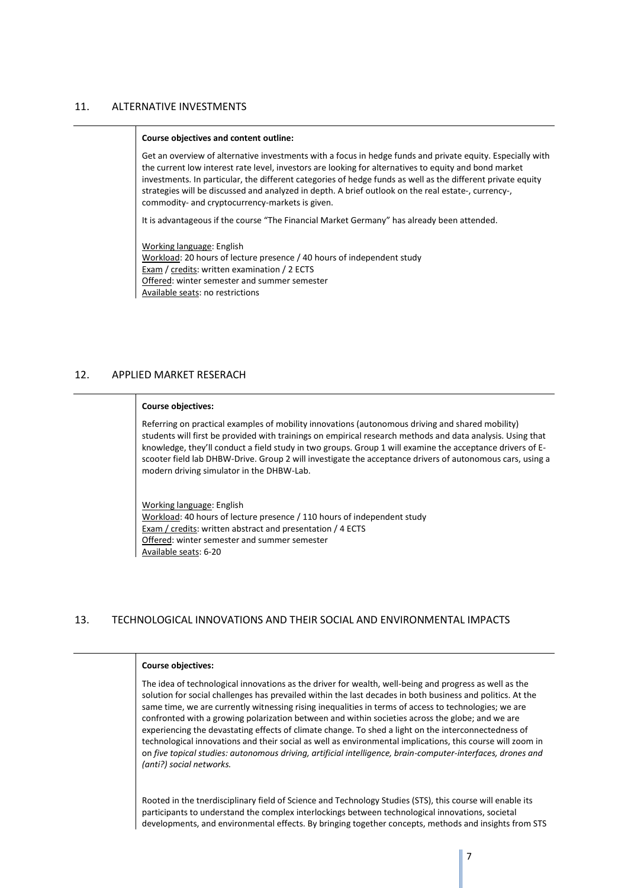## <span id="page-6-0"></span>11. ALTERNATIVE INVESTMENTS

#### **Course objectives and content outline:**

Get an overview of alternative investments with a focus in hedge funds and private equity. Especially with the current low interest rate level, investors are looking for alternatives to equity and bond market investments. In particular, the different categories of hedge funds as well as the different private equity strategies will be discussed and analyzed in depth. A brief outlook on the real estate-, currency-, commodity- and cryptocurrency-markets is given.

It is advantageous if the course "The Financial Market Germany" has already been attended.

Working language: English Workload: 20 hours of lecture presence / 40 hours of independent study Exam / credits: written examination / 2 ECTS Offered: winter semester and summer semester Available seats: no restrictions

## <span id="page-6-1"></span>12. APPLIED MARKET RESERACH

#### **Course objectives:**

Referring on practical examples of mobility innovations (autonomous driving and shared mobility) students will first be provided with trainings on empirical research methods and data analysis. Using that knowledge, they'll conduct a field study in two groups. Group 1 will examine the acceptance drivers of Escooter field lab DHBW-Drive. Group 2 will investigate the acceptance drivers of autonomous cars, using a modern driving simulator in the DHBW-Lab.

Working language: English Workload: 40 hours of lecture presence / 110 hours of independent study Exam / credits: written abstract and presentation / 4 ECTS Offered: winter semester and summer semester Available seats: 6-20

## <span id="page-6-2"></span>13. TECHNOLOGICAL INNOVATIONS AND THEIR SOCIAL AND ENVIRONMENTAL IMPACTS

## **Course objectives:**

The idea of technological innovations as the driver for wealth, well-being and progress as well as the solution for social challenges has prevailed within the last decades in both business and politics. At the same time, we are currently witnessing rising inequalities in terms of access to technologies; we are confronted with a growing polarization between and within societies across the globe; and we are experiencing the devastating effects of climate change. To shed a light on the interconnectedness of technological innovations and their social as well as environmental implications, this course will zoom in on *five topical studies: autonomous driving, artificial intelligence, brain-computer-interfaces, drones and (anti?) social networks.*

Rooted in the tnerdisciplinary field of Science and Technology Studies (STS), this course will enable its participants to understand the complex interlockings between technological innovations, societal developments, and environmental effects. By bringing together concepts, methods and insights from STS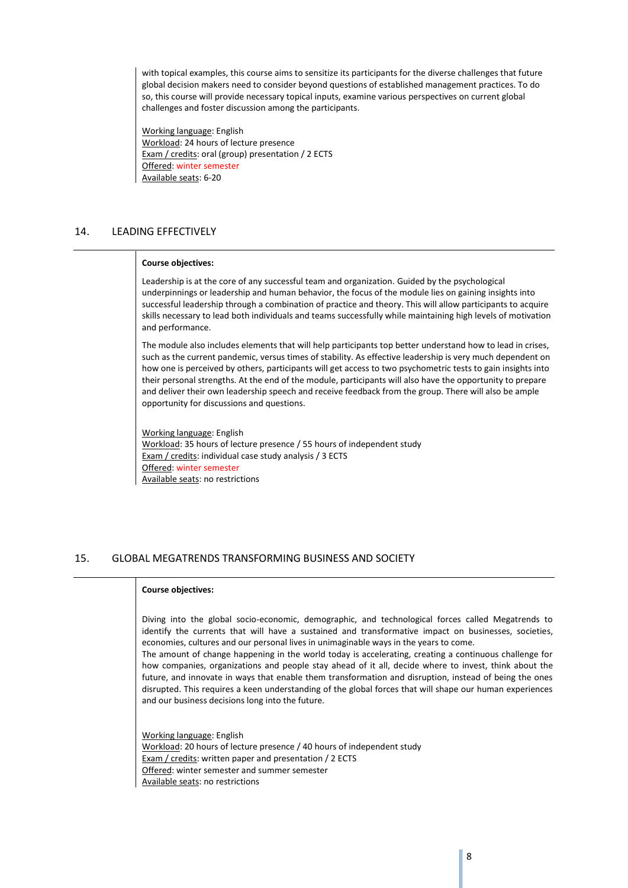with topical examples, this course aims to sensitize its participants for the diverse challenges that future global decision makers need to consider beyond questions of established management practices. To do so, this course will provide necessary topical inputs, examine various perspectives on current global challenges and foster discussion among the participants.

Working language: English Workload: 24 hours of lecture presence Exam / credits: oral (group) presentation / 2 ECTS Offered: winter semester Available seats: 6-20

## <span id="page-7-0"></span>14. LEADING EFFECTIVELY

#### **Course objectives:**

Leadership is at the core of any successful team and organization. Guided by the psychological underpinnings or leadership and human behavior, the focus of the module lies on gaining insights into successful leadership through a combination of practice and theory. This will allow participants to acquire skills necessary to lead both individuals and teams successfully while maintaining high levels of motivation and performance.

The module also includes elements that will help participants top better understand how to lead in crises, such as the current pandemic, versus times of stability. As effective leadership is very much dependent on how one is perceived by others, participants will get access to two psychometric tests to gain insights into their personal strengths. At the end of the module, participants will also have the opportunity to prepare and deliver their own leadership speech and receive feedback from the group. There will also be ample opportunity for discussions and questions.

Working language: English Workload: 35 hours of lecture presence / 55 hours of independent study Exam / credits: individual case study analysis / 3 ECTS Offered: winter semester Available seats: no restrictions

## <span id="page-7-1"></span>15. GLOBAL MEGATRENDS TRANSFORMING BUSINESS AND SOCIETY

## **Course objectives:**

Diving into the global socio-economic, demographic, and technological forces called Megatrends to identify the currents that will have a sustained and transformative impact on businesses, societies, economies, cultures and our personal lives in unimaginable ways in the years to come.

The amount of change happening in the world today is accelerating, creating a continuous challenge for how companies, organizations and people stay ahead of it all, decide where to invest, think about the future, and innovate in ways that enable them transformation and disruption, instead of being the ones disrupted. This requires a keen understanding of the global forces that will shape our human experiences and our business decisions long into the future.

Working language: English Workload: 20 hours of lecture presence / 40 hours of independent study Exam / credits: written paper and presentation / 2 ECTS Offered: winter semester and summer semester Available seats: no restrictions